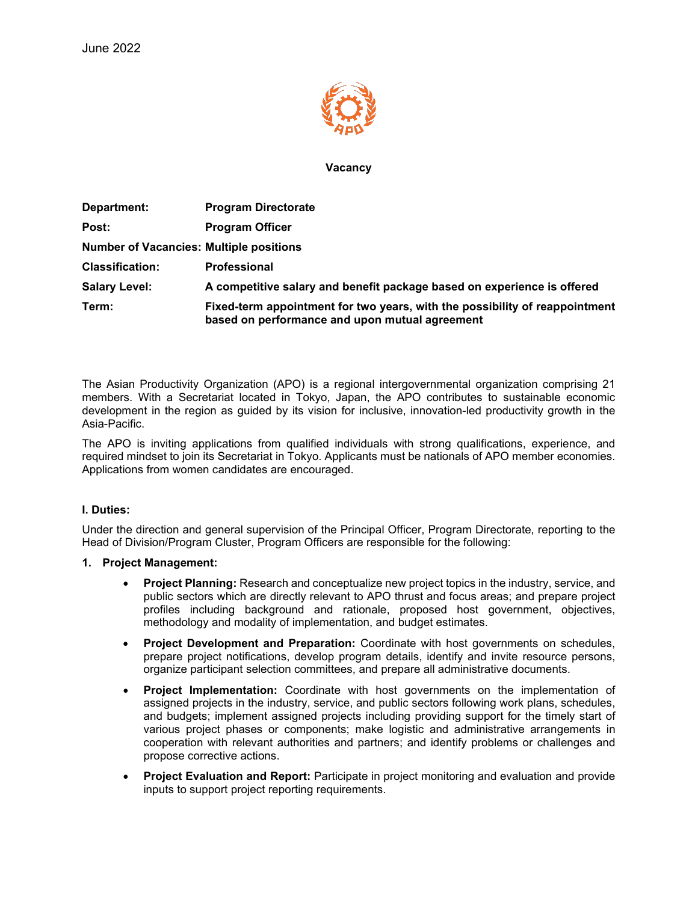

**Vacancy**

| Department:                                    | <b>Program Directorate</b>                                                                                                    |
|------------------------------------------------|-------------------------------------------------------------------------------------------------------------------------------|
| Post:                                          | <b>Program Officer</b>                                                                                                        |
| <b>Number of Vacancies: Multiple positions</b> |                                                                                                                               |
| <b>Classification:</b>                         | <b>Professional</b>                                                                                                           |
| <b>Salary Level:</b>                           | A competitive salary and benefit package based on experience is offered                                                       |
| Term:                                          | Fixed-term appointment for two years, with the possibility of reappointment<br>based on performance and upon mutual agreement |

The Asian Productivity Organization (APO) is a regional intergovernmental organization comprising 21 members. With a Secretariat located in Tokyo, Japan, the APO contributes to sustainable economic development in the region as guided by its vision for inclusive, innovation-led productivity growth in the Asia-Pacific.

The APO is inviting applications from qualified individuals with strong qualifications, experience, and required mindset to join its Secretariat in Tokyo. Applicants must be nationals of APO member economies. Applications from women candidates are encouraged.

#### **I. Duties:**

Under the direction and general supervision of the Principal Officer, Program Directorate, reporting to the Head of Division/Program Cluster, Program Officers are responsible for the following:

### **1. Project Management:**

- **Project Planning:** Research and conceptualize new project topics in the industry, service, and public sectors which are directly relevant to APO thrust and focus areas; and prepare project profiles including background and rationale, proposed host government, objectives, methodology and modality of implementation, and budget estimates.
- **Project Development and Preparation:** Coordinate with host governments on schedules, prepare project notifications, develop program details, identify and invite resource persons, organize participant selection committees, and prepare all administrative documents.
- **Project Implementation:** Coordinate with host governments on the implementation of assigned projects in the industry, service, and public sectors following work plans, schedules, and budgets; implement assigned projects including providing support for the timely start of various project phases or components; make logistic and administrative arrangements in cooperation with relevant authorities and partners; and identify problems or challenges and propose corrective actions.
- **Project Evaluation and Report:** Participate in project monitoring and evaluation and provide inputs to support project reporting requirements.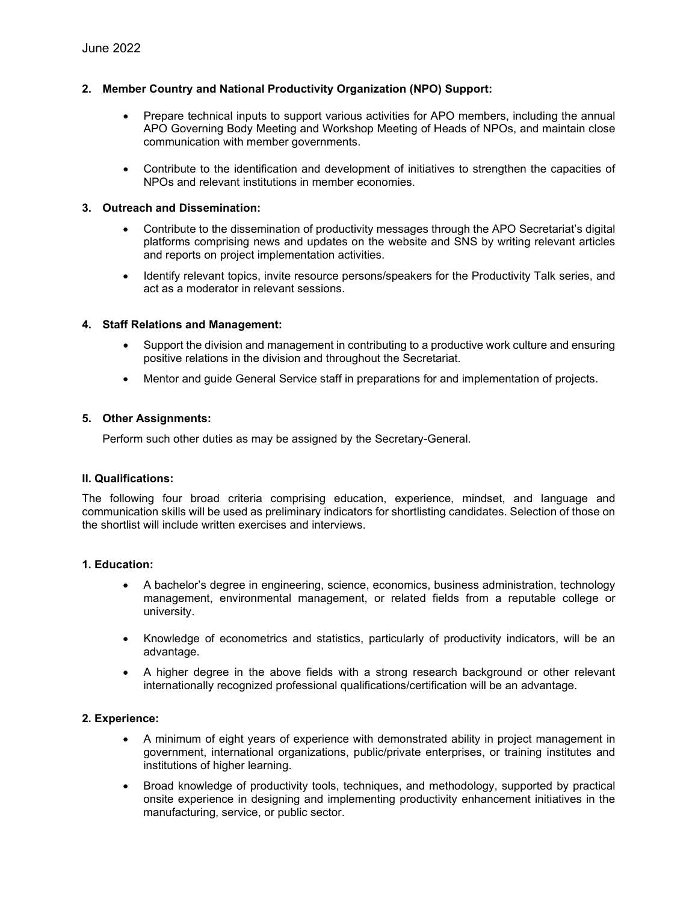# **2. Member Country and National Productivity Organization (NPO) Support:**

- Prepare technical inputs to support various activities for APO members, including the annual APO Governing Body Meeting and Workshop Meeting of Heads of NPOs, and maintain close communication with member governments.
- Contribute to the identification and development of initiatives to strengthen the capacities of NPOs and relevant institutions in member economies.

### **3. Outreach and Dissemination:**

- Contribute to the dissemination of productivity messages through the APO Secretariat's digital platforms comprising news and updates on the website and SNS by writing relevant articles and reports on project implementation activities.
- Identify relevant topics, invite resource persons/speakers for the Productivity Talk series, and act as a moderator in relevant sessions.

### **4. Staff Relations and Management:**

- Support the division and management in contributing to a productive work culture and ensuring positive relations in the division and throughout the Secretariat.
- Mentor and guide General Service staff in preparations for and implementation of projects.

## **5. Other Assignments:**

Perform such other duties as may be assigned by the Secretary-General.

#### **II. Qualifications:**

The following four broad criteria comprising education, experience, mindset, and language and communication skills will be used as preliminary indicators for shortlisting candidates. Selection of those on the shortlist will include written exercises and interviews.

#### **1. Education:**

- A bachelor's degree in engineering, science, economics, business administration, technology management, environmental management, or related fields from a reputable college or university.
- Knowledge of econometrics and statistics, particularly of productivity indicators, will be an advantage.
- A higher degree in the above fields with a strong research background or other relevant internationally recognized professional qualifications/certification will be an advantage.

#### **2. Experience:**

- A minimum of eight years of experience with demonstrated ability in project management in government, international organizations, public/private enterprises, or training institutes and institutions of higher learning.
- Broad knowledge of productivity tools, techniques, and methodology, supported by practical onsite experience in designing and implementing productivity enhancement initiatives in the manufacturing, service, or public sector.